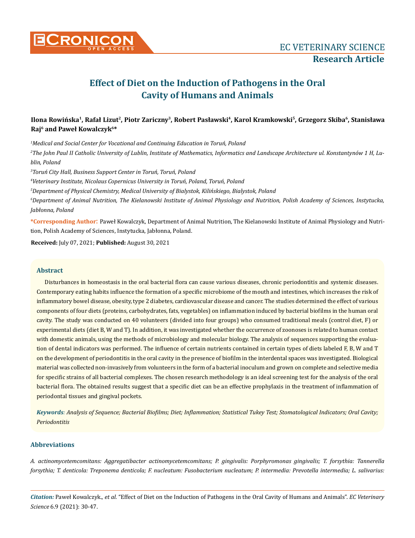

# **Effect of Diet on the Induction of Pathogens in the Oral Cavity of Humans and Animals**

# **Ilona Rowińska<sup>1</sup>, Rafał Lizut<sup>2</sup>, Piotr Zariczny<sup>3</sup>, Robert Pasławski<sup>4</sup>, Karol Kramkowski<sup>5</sup>, Grzegorz Skiba<sup>6</sup>, Stanisława Raj6 and Paweł Kowalczyk6\***

*1 Medical and Social Center for Vocational and Continuing Education in Toruń, Poland*

*2 The John Paul II Catholic University of Lublin, Institute of Mathematics, Informatics and Landscape Architecture ul. Konstantynów 1 H, Lublin, Poland*

*3 Toruń City Hall, Business Support Center in Toruń, Toruń, Poland*

*4 Veterinary Institute, Nicolaus Copernicus University in Toruń, Poland, Toruń, Poland*

*5 Department of Physical Chemistry, Medical University of Bialystok, Kilińskiego, Bialystok, Poland*

*6 Department of Animal Nutrition, The Kielanowski Institute of Animal Physiology and Nutrition, Polish Academy of Sciences, Instytucka, Jabłonna, Poland*

**\*Corresponding Author**: Paweł Kowalczyk, Department of Animal Nutrition, The Kielanowski Institute of Animal Physiology and Nutrition, Polish Academy of Sciences, Instytucka, Jabłonna, Poland.

**Received:** July 07, 2021; **Published:** August 30, 2021

# **Abstract**

Disturbances in homeostasis in the oral bacterial flora can cause various diseases, chronic periodontitis and systemic diseases. Contemporary eating habits influence the formation of a specific microbiome of the mouth and intestines, which increases the risk of inflammatory bowel disease, obesity, type 2 diabetes, cardiovascular disease and cancer. The studies determined the effect of various components of four diets (proteins, carbohydrates, fats, vegetables) on inflammation induced by bacterial biofilms in the human oral cavity. The study was conducted on 40 volunteers (divided into four groups) who consumed traditional meals (control diet, F) or experimental diets (diet B, W and T). In addition, it was investigated whether the occurrence of zoonoses is related to human contact with domestic animals, using the methods of microbiology and molecular biology. The analysis of sequences supporting the evaluation of dental indicators was performed. The influence of certain nutrients contained in certain types of diets labeled F, B, W and T on the development of periodontitis in the oral cavity in the presence of biofilm in the interdental spaces was investigated. Biological material was collected non-invasively from volunteers in the form of a bacterial inoculum and grown on complete and selective media for specific strains of all bacterial complexes. The chosen research methodology is an ideal screening test for the analysis of the oral bacterial flora. The obtained results suggest that a specific diet can be an effective prophylaxis in the treatment of inflammation of periodontal tissues and gingival pockets.

*Keywords: Analysis of Sequence; Bacterial Biofilms; Diet; Inflammation; Statistical Tukey Test; Stomatological Indicators; Oral Cavity; Periodontitis*

# **Abbreviations**

*A. actinomycetemcomitans: Aggregatibacter actinomycetemcomitans; P. gingivalis: Porphyromonas gingivalis; T. forsythia: Tannerella forsythia; T. denticola: Treponema denticola; F. nucleatum: Fusobacterium nucleatum; P. intermedia: Prevotella intermedia; L. salivarius:*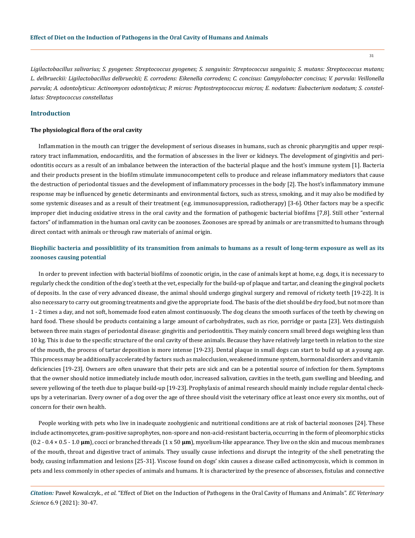*Ligilactobacillus salivarius; S. pyogenes: Streptococcus pyogenes; S. sanguinis: Streptococcus sanguinis; S. mutans: Streptococcus mutans; L. delbrueckii: Ligilactobacillus delbrueckii; E. corrodens: Eikenella corrodens; C. concisus: Campylobacter concisus; V. parvula: Veillonella parvula; A. odontolyticus: Actinomyces odontolyticus; P. micros: Peptostreptococcus micros; E. nodatum: Eubacterium nodatum; S. constellatus: Streptococcus constellatus*

# **Introduction**

#### **The physiological flora of the oral cavity**

Inflammation in the mouth can trigger the development of serious diseases in humans, such as chronic pharyngitis and upper respiratory tract inflammation, endocarditis, and the formation of abscesses in the liver or kidneys. The development of gingivitis and periodontitis occurs as a result of an imbalance between the interaction of the bacterial plaque and the host's immune system [1]. Bacteria and their products present in the biofilm stimulate immunocompetent cells to produce and release inflammatory mediators that cause the destruction of periodontal tissues and the development of inflammatory processes in the body [2]. The host's inflammatory immune response may be influenced by genetic determinants and environmental factors, such as stress, smoking, and it may also be modified by some systemic diseases and as a result of their treatment (e.g. immunosuppression, radiotherapy) [3-6]. Other factors may be a specific improper diet inducing oxidative stress in the oral cavity and the formation of pathogenic bacterial biofilms [7,8]. Still other "external factors" of inflammation in the human oral cavity can be zoonoses. Zoonoses are spread by animals or are transmitted to humans through direct contact with animals or through raw materials of animal origin.

# **Biophilic bacteria and possiblitlity of its transmition from animals to humans as a result of long-term exposure as well as its zoonoses causing potential**

In order to prevent infection with bacterial biofilms of zoonotic origin, in the case of animals kept at home, e.g. dogs, it is necessary to regularly check the condition of the dog's teeth at the vet, especially for the build-up of plaque and tartar, and cleaning the gingival pockets of deposits. In the case of very advanced disease, the animal should undergo gingival surgery and removal of rickety teeth [19-22]. It is also necessary to carry out grooming treatments and give the appropriate food. The basis of the diet should be dry food, but not more than 1 - 2 times a day, and not soft, homemade food eaten almost continuously. The dog cleans the smooth surfaces of the teeth by chewing on hard food. These should be products containing a large amount of carbohydrates, such as rice, porridge or pasta [23]. Vets distinguish between three main stages of periodontal disease: gingivitis and periodontitis. They mainly concern small breed dogs weighing less than 10 kg. This is due to the specific structure of the oral cavity of these animals. Because they have relatively large teeth in relation to the size of the mouth, the process of tartar deposition is more intense [19-23]. Dental plaque in small dogs can start to build up at a young age. This process may be additionally accelerated by factors such as malocclusion, weakened immune system, hormonal disorders and vitamin deficiencies [19-23]. Owners are often unaware that their pets are sick and can be a potential source of infection for them. Symptoms that the owner should notice immediately include mouth odor, increased salivation, cavities in the teeth, gum swelling and bleeding, and severe yellowing of the teeth due to plaque build-up [19-23]. Prophylaxis of animal research should mainly include regular dental checkups by a veterinarian. Every owner of a dog over the age of three should visit the veterinary office at least once every six months, out of concern for their own health.

People working with pets who live in inadequate zoohygienic and nutritional conditions are at risk of bacterial zoonoses [24]. These include actinomycetes, gram-positive saprophytes, non-spore and non-acid-resistant bacteria, occurring in the form of pleomorphic sticks (0.2 - 0.4 × 0.5 - 1.0 **μm**), cocci or branched threads (1 x 50 **μm**), mycelium-like appearance. They live on the skin and mucous membranes of the mouth, throat and digestive tract of animals. They usually cause infections and disrupt the integrity of the shell penetrating the body, causing inflammation and lesions [25-31]. Viscose found on dogs' skin causes a disease called actinomycosis, which is common in pets and less commonly in other species of animals and humans. It is characterized by the presence of abscesses, fistulas and connective

*Citation:* Paweł Kowalczyk., *et al.* "Effect of Diet on the Induction of Pathogens in the Oral Cavity of Humans and Animals". *EC Veterinary Science* 6.9 (2021): 30-47.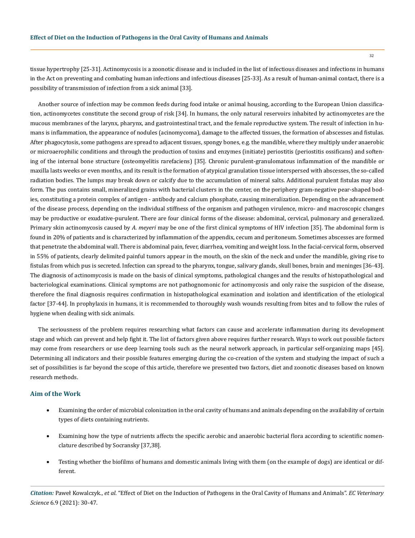tissue hypertrophy [25-31]. Actinomycosis is a zoonotic disease and is included in the list of infectious diseases and infections in humans in the Act on preventing and combating human infections and infectious diseases [25-33]. As a result of human-animal contact, there is a possibility of transmission of infection from a sick animal [33].

Another source of infection may be common feeds during food intake or animal housing, according to the European Union classification, actinomycetes constitute the second group of risk [34]. In humans, the only natural reservoirs inhabited by actinomycetes are the mucous membranes of the larynx, pharynx, and gastrointestinal tract, and the female reproductive system. The result of infection in humans is inflammation, the appearance of nodules (acinomycoma), damage to the affected tissues, the formation of abscesses and fistulas. After phagocytosis, some pathogens are spread to adjacent tissues, spongy bones, e.g. the mandible, where they multiply under anaerobic or microaerophilic conditions and through the production of toxins and enzymes (initiate) periostitis (periostitis ossificans) and softening of the internal bone structure (osteomyelitis rarefaciens) [35]. Chronic purulent-granulomatous inflammation of the mandible or maxilla lasts weeks or even months, and its result is the formation of atypical granulation tissue interspersed with abscesses, the so-called radiation bodies. The lumps may break down or calcify due to the accumulation of mineral salts. Additional purulent fistulas may also form. The pus contains small, mineralized grains with bacterial clusters in the center, on the periphery gram-negative pear-shaped bodies, constituting a protein complex of antigen - antibody and calcium phosphate, causing mineralization. Depending on the advancement of the disease process, depending on the individual stiffness of the organism and pathogen virulence, micro- and macroscopic changes may be productive or exudative-purulent. There are four clinical forms of the disease: abdominal, cervical, pulmonary and generalized. Primary skin actinomycosis caused by *A. meyeri* may be one of the first clinical symptoms of HIV infection [35]. The abdominal form is found in 20% of patients and is characterized by inflammation of the appendix, cecum and peritoneum. Sometimes abscesses are formed that penetrate the abdominal wall. There is abdominal pain, fever, diarrhea, vomiting and weight loss. In the facial-cervical form, observed in 55% of patients, clearly delimited painful tumors appear in the mouth, on the skin of the neck and under the mandible, giving rise to fistulas from which pus is secreted. Infection can spread to the pharynx, tongue, salivary glands, skull bones, brain and meninges [36-43]. The diagnosis of actinomycosis is made on the basis of clinical symptoms, pathological changes and the results of histopathological and bacteriological examinations. Clinical symptoms are not pathognomonic for actinomycosis and only raise the suspicion of the disease, therefore the final diagnosis requires confirmation in histopathological examination and isolation and identification of the etiological factor [37-44]. In prophylaxis in humans, it is recommended to thoroughly wash wounds resulting from bites and to follow the rules of hygiene when dealing with sick animals.

The seriousness of the problem requires researching what factors can cause and accelerate inflammation during its development stage and which can prevent and help fight it. The list of factors given above requires further research. Ways to work out possible factors may come from researchers or use deep learning tools such as the neural network approach, in particular self-organizing maps [45]. Determining all indicators and their possible features emerging during the co-creation of the system and studying the impact of such a set of possibilities is far beyond the scope of this article, therefore we presented two factors, diet and zoonotic diseases based on known research methods.

# **Aim of the Work**

- Examining the order of microbial colonization in the oral cavity of humans and animals depending on the availability of certain types of diets containing nutrients.
- Examining how the type of nutrients affects the specific aerobic and anaerobic bacterial flora according to scientific nomenclature described by Socransky [37,38].
- • Testing whether the biofilms of humans and domestic animals living with them (on the example of dogs) are identical or different.

*Citation:* Paweł Kowalczyk., *et al.* "Effect of Diet on the Induction of Pathogens in the Oral Cavity of Humans and Animals". *EC Veterinary Science* 6.9 (2021): 30-47.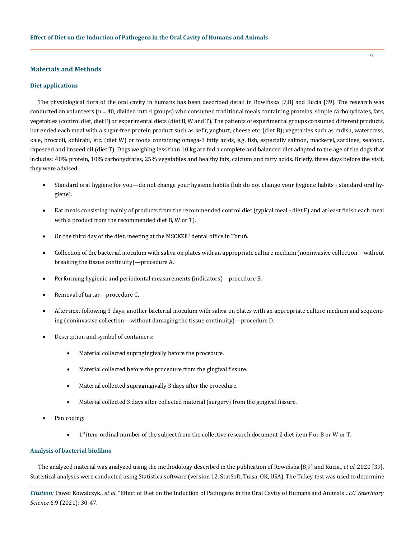## **Materials and Methods**

# **Diet applications**

The physiological flora of the oral cavity in humans has been described detail in Rowińska [7,8] and Kucia [39]. The research was conducted on volunteers (n = 40, divided into 4 groups) who consumed traditional meals containing proteins, simple carbohydrates, fats, vegetables (control diet, diet F) or experimental diets (diet B, W and T). The patients of experimental groups consumed different products, but ended each meal with a sugar-free protein product such as kefir, yoghurt, cheese etc. (diet B); vegetables such as radish, watercress, kale, broccoli, kohlrabi, etc. (diet W) or foods containing omega-3 fatty acids, e.g. fish, especially salmon, mackerel, sardines, seafood, rapeseed and linseed oil (diet T). Dogs weighing less than 10 kg are fed a complete and balanced diet adapted to the age of the dogs that includes: 40% protein, 10% carbohydrates, 25% vegetables and healthy fats, calcium and fatty acids. Briefly, three days before the visit, they were advised:

- Standard oral hygiene for you—do not change your hygiene habits (lub do not change your hygiene habits standard oral hygiene).
- Eat meals consisting mainly of products from the recommended control diet (typical meal diet F) and at least finish each meal with a product from the recommended diet B, W or T).
- On the third day of the diet, meeting at the MSCKZiU dental office in Toruń.
- Collection of the bacterial inoculum with saliva on plates with an appropriate culture medium (noninvasive collection—without breaking the tissue continuity)—procedure A.
- Performing hygienic and periodontal measurements (indicators)—procedure B.
- Removal of tartar—procedure C.
- After next following 3 days, another bacterial inoculum with saliva on plates with an appropriate culture medium and sequencing (noninvasive collection—without damaging the tissue continuity)—procedure D.
- Description and symbol of containers:
	- Material collected supragingivally before the procedure.
	- Material collected before the procedure from the gingival fissure.
	- Material collected supragingivally 3 days after the procedure.
	- Material collected 3 days after collected material (surgery) from the gingival fissure.
- Pan coding:
	- 1st item-ordinal number of the subject from the collective research document 2 diet item F or B or W or T.

# **Analysis of bacterial biofilms**

The analyzed material was analyzed using the methodology described in the publication of Rowińska [8,9] and Kucia., *et al*. 2020 [39]. Statistical analyses were conducted using Statistica software (version 12, StatSoft, Tulsa, OK, USA). The Tukey test was used to determine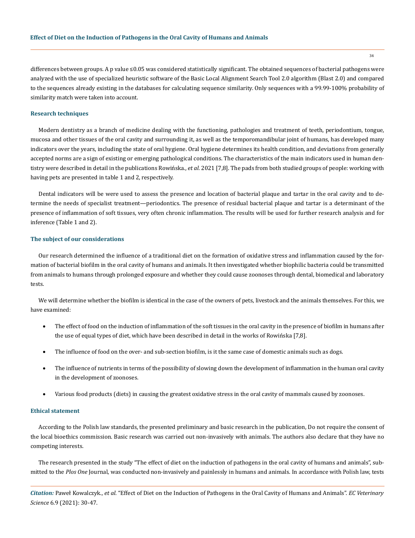differences between groups. A p value ≤0.05 was considered statistically significant. The obtained sequences of bacterial pathogens were analyzed with the use of specialized heuristic software of the Basic Local Alignment Search Tool 2.0 algorithm (Blast 2.0) and compared to the sequences already existing in the databases for calculating sequence similarity. Only sequences with a 99.99-100% probability of similarity match were taken into account.

#### **Research techniques**

Modern dentistry as a branch of medicine dealing with the functioning, pathologies and treatment of teeth, periodontium, tongue, mucosa and other tissues of the oral cavity and surrounding it, as well as the temporomandibular joint of humans, has developed many indicators over the years, including the state of oral hygiene. Oral hygiene determines its health condition, and deviations from generally accepted norms are a sign of existing or emerging pathological conditions. The characteristics of the main indicators used in human dentistry were described in detail in the publications Rowińska., *et al*. 2021 [7,8]. The pads from both studied groups of people: working with having pets are presented in table 1 and 2, respectively.

Dental indicators will be were used to assess the presence and location of bacterial plaque and tartar in the oral cavity and to determine the needs of specialist treatment—periodontics. The presence of residual bacterial plaque and tartar is a determinant of the presence of inflammation of soft tissues, very often chronic inflammation. The results will be used for further research analysis and for inference (Table 1 and 2).

# **The subject of our considerations**

Our research determined the influence of a traditional diet on the formation of oxidative stress and inflammation caused by the formation of bacterial biofilm in the oral cavity of humans and animals. It then investigated whether biophilic bacteria could be transmitted from animals to humans through prolonged exposure and whether they could cause zoonoses through dental, biomedical and laboratory tests.

We will determine whether the biofilm is identical in the case of the owners of pets, livestock and the animals themselves. For this, we have examined:

- The effect of food on the induction of inflammation of the soft tissues in the oral cavity in the presence of biofilm in humans after the use of equal types of diet, which have been described in detail in the works of Rowińska [7,8].
- The influence of food on the over- and sub-section biofilm, is it the same case of domestic animals such as dogs.
- The influence of nutrients in terms of the possibility of slowing down the development of inflammation in the human oral cavity in the development of zoonoses.
- Various food products (diets) in causing the greatest oxidative stress in the oral cavity of mammals caused by zoonoses.

#### **Ethical statement**

According to the Polish law standards, the presented preliminary and basic research in the publication, Do not require the consent of the local bioethics commission. Basic research was carried out non-invasively with animals. The authors also declare that they have no competing interests.

The research presented in the study "The effect of diet on the induction of pathogens in the oral cavity of humans and animals", submitted to the *Plos One* Journal, was conducted non-invasively and painlessly in humans and animals. In accordance with Polish law, tests

*Citation:* Paweł Kowalczyk., *et al.* "Effect of Diet on the Induction of Pathogens in the Oral Cavity of Humans and Animals". *EC Veterinary Science* 6.9 (2021): 30-47.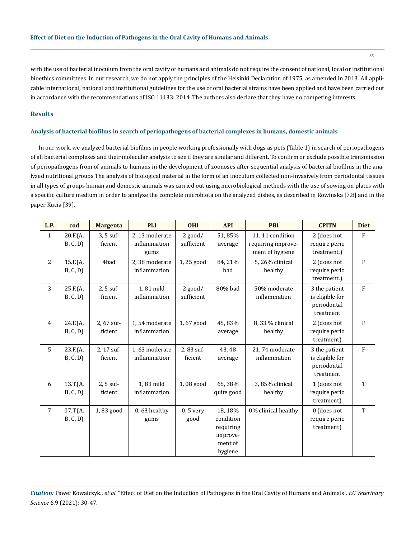with the use of bacterial inoculum from the oral cavity of humans and animals do not require the consent of national, local or institutional bioethics committees. In our research, we do not apply the principles of the Helsinki Declaration of 1975, as amended in 2013. All applicable international, national and institutional guidelines for the use of oral bacterial strains have been applied and have been carried out in accordance with the recommendations of ISO 11133: 2014. The authors also declare that they have no competing interests.

# **Results**

# **Analysis of bacterial biofilms in search of periopathogens of bacterial complexes in humans, domestic animals**

In our work, we analyzed bacterial biofilms in people working professionally with dogs as pets (Table 1) in search of periopathogens of all bacterial complexes and their molecular analysis to see if they are similar and different. To confirm or exclude possible transmission of periopathogens from of animals to humans in the development of zoonoses after sequential analysis of bacterial biofilms in the analyzed nutritional groups The analysis of biological material in the form of an inoculum collected non-invasively from periodontal tissues in all types of groups human and domestic animals was carried out using microbiological methods with the use of sowing on plates with a specific culture medium in order to analyze the complete microbiota on the analyzed dishes, as described in Rowinska [7,8] and in the paper Kucia [39].

| L.P.           | cod                  | <b>Margenta</b>        | PI.I                                  | <b>OHI</b>              | <b>API</b>                                                          | <b>PBI</b>                                                | <b>CPITN</b>                                                 | <b>Diet</b>  |
|----------------|----------------------|------------------------|---------------------------------------|-------------------------|---------------------------------------------------------------------|-----------------------------------------------------------|--------------------------------------------------------------|--------------|
| $\mathbf{1}$   | 20.F.(A,<br>B, C, D  | $3, 5$ suf-<br>ficient | 2,13 moderate<br>inflammation<br>gums | $2$ good/<br>sufficient | 51,85%<br>average                                                   | 11, 11 condition<br>requiring improve-<br>ment of hygiene | 2 (does not<br>require perio<br>treatment.)                  | F            |
| $\overline{c}$ | 15.F.(A,<br>B, C, D  | 4bad                   | 2,38 moderate<br>inflammation         | 1,25 good               | 84, 21%<br>bad                                                      | 5, 26% clinical<br>healthy                                | 2 (does not<br>require perio<br>treatment.)                  | F            |
| 3              | 25.F.(A,<br>B, C, D) | 2, 5 suf-<br>ficient   | 1,81 mild<br>inflammation             | $2$ good/<br>sufficient | 80% bad                                                             | 50% moderate<br>inflammation                              | 3 the patient<br>is eligible for<br>periodontal<br>treatment | F            |
| $\overline{4}$ | 24.F.(A,<br>B, C, D  | 2,67 suf-<br>ficient   | 1,54 moderate<br>inflammation         | 1,67 good               | 45,83%<br>average                                                   | 8, 33 % clinical<br>healthy                               | 2 (does not<br>require perio<br>treatment)                   | F            |
| 5              | 23.F(A,<br>B, C, D   | 2, 17 suf-<br>ficient  | 1,63 moderate<br>inflammation         | 2,83 suf-<br>ficient    | 43,48<br>average                                                    | 21,74 moderate<br>inflammation                            | 3 the patient<br>is eligible for<br>periodontal<br>treatment | $\mathbf{F}$ |
| 6              | 13.T.(A,<br>B, C, D) | 2, 5 suf-<br>ficient   | 1,83 mild<br>inflammation             | 1,08 good               | 65,38%<br>quite good                                                | 3,85% clinical<br>healthy                                 | 1 (does not<br>require perio<br>treatment)                   | T            |
| 7              | 07.T.(A,<br>B, C, D  | 1,83 good              | $0,63$ healthy<br>gums                | $0, 5$ very<br>good     | 18, 18%<br>condition<br>requiring<br>improve-<br>ment of<br>hygiene | 0% clinical healthy                                       | 0 (does not<br>require perio<br>treatment)                   | T            |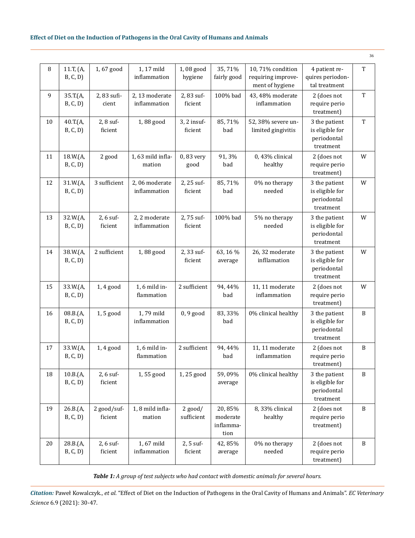| 8              | 11.T, (A,<br>B, C, D | 1,67 good              | 1, 17 mild<br>inflammation     | 1,08 good<br>hygiene    | 35,71%<br>fairly good                   | 10,71% condition<br>requiring improve-<br>ment of hygiene | 4 patient re-<br>quires periodon-<br>tal treatment           | $\mathbf T$  |
|----------------|----------------------|------------------------|--------------------------------|-------------------------|-----------------------------------------|-----------------------------------------------------------|--------------------------------------------------------------|--------------|
| $\overline{9}$ | 35.T.(A,<br>B, C, D) | 2,83 sufi-<br>cient    | 2, 13 moderate<br>inflammation | 2,83 suf-<br>ficient    | 100% bad                                | 43, 48% moderate<br>inflammation                          | 2 (does not<br>require perio<br>treatment)                   | $\mathbf T$  |
| $10\,$         | 40.T.(A,<br>B, C, D) | 2, 8 suf-<br>ficient   | 1,88 good                      | 3, 2 insuf-<br>ficient  | 85,71%<br>bad                           | 52, 38% severe un-<br>limited gingivitis                  | 3 the patient<br>is eligible for<br>periodontal<br>treatment | $\mathbf T$  |
| 11             | 18.W.(A,<br>B, C, D) | 2 good                 | 1,63 mild infla-<br>mation     | 0,83 very<br>good       | 91,3%<br>bad                            | 0, 43% clinical<br>healthy                                | 2 (does not<br>require perio<br>treatment)                   | W            |
| 12             | 31.W.(A,<br>B, C, D) | 3 sufficient           | 2,06 moderate<br>inflammation  | 2, 25 suf-<br>ficient   | 85,71%<br>bad                           | 0% no therapy<br>needed                                   | 3 the patient<br>is eligible for<br>periodontal<br>treatment | W            |
| 13             | 32.W.(A,<br>B, C, D) | $2, 6$ suf-<br>ficient | 2, 2 moderate<br>inflammation  | 2,75 suf-<br>ficient    | 100% bad                                | 5% no therapy<br>needed                                   | 3 the patient<br>is eligible for<br>periodontal<br>treatment | W            |
| 14             | 38.W.(A,<br>B, C, D  | 2 sufficient           | 1,88 good                      | 2,33 suf-<br>ficient    | 63, 16 %<br>average                     | 26, 32 moderate<br>infllamation                           | 3 the patient<br>is eligible for<br>periodontal<br>treatment | W            |
| 15             | 33.W.(A,<br>B, C, D  | $1,4$ good             | 1, 6 mild in-<br>flammation    | 2 sufficient            | 94, 44%<br>bad                          | 11, 11 moderate<br>inflammation                           | 2 (does not<br>require perio<br>treatment)                   | W            |
| 16             | 08.B.(A,<br>B, C, D) | 1,5 good               | 1,79 mild<br>inflammation      | $0, 9$ good             | 83, 33%<br>bad                          | 0% clinical healthy                                       | 3 the patient<br>is eligible for<br>periodontal<br>treatment | $\, {\bf B}$ |
| $17\,$         | 33.W.(A,<br>B, C, D) | $1,4$ good             | 1, 6 mild in-<br>flammation    | 2 sufficient            | 94, 44%<br>bad                          | 11, 11 moderate<br>inflammation                           | 2 (does not<br>require perio<br>treatment)                   | $\, {\bf B}$ |
| 18             | 10.B.(A,<br>B, C, D  | 2, 6 suf-<br>ficient   | 1,55 good                      | 1,25 good               | 59,09%<br>average                       | 0% clinical healthy                                       | 3 the patient<br>is eligible for<br>periodontal<br>treatment | B            |
| 19             | 26.B.(A,<br>B, C, D  | 2 good/suf-<br>ficient | 1,8 mild infla-<br>mation      | $2$ good/<br>sufficient | 20,85%<br>moderate<br>inflamma-<br>tion | 8,33% clinical<br>healthy                                 | 2 (does not<br>require perio<br>treatment)                   | B            |
| 20             | 28.B.(A,<br>B, C, D) | 2, 6 suf-<br>ficient   | 1,67 mild<br>inflammation      | 2, 5 suf-<br>ficient    | 42,85%<br>average                       | 0% no therapy<br>needed                                   | 2 (does not<br>require perio<br>treatment)                   | $\, {\bf B}$ |

*Table 1: A group of test subjects who had contact with domestic animals for several hours.*

*Citation:* Paweł Kowalczyk., *et al.* "Effect of Diet on the Induction of Pathogens in the Oral Cavity of Humans and Animals". *EC Veterinary Science* 6.9 (2021): 30-47.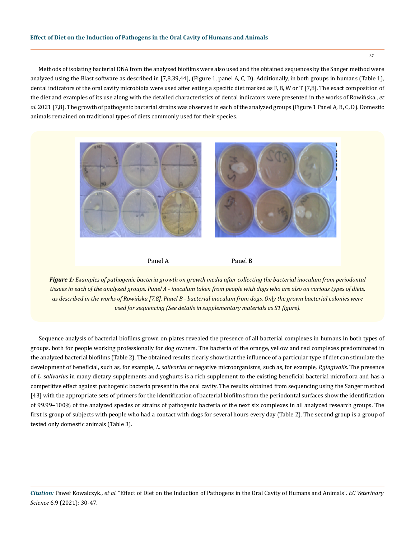Methods of isolating bacterial DNA from the analyzed biofilms were also used and the obtained sequences by the Sanger method were analyzed using the Blast software as described in [7,8,39,44], (Figure 1, panel A, C, D). Additionally, in both groups in humans (Table 1), dental indicators of the oral cavity microbiota were used after eating a specific diet marked as F, B, W or T [7,8]. The exact composition of the diet and examples of its use along with the detailed characteristics of dental indicators were presented in the works of Rowińska., *et al*. 2021 [7,8]. The growth of pathogenic bacterial strains was observed in each of the analyzed groups (Figure 1 Panel A, B, C, D). Domestic animals remained on traditional types of diets commonly used for their species.



*Figure 1: Examples of pathogenic bacteria growth on growth media after collecting the bacterial inoculum from periodontal tissues in each of the analyzed groups. Panel A - inoculum taken from people with dogs who are also on various types of diets, as described in the works of Rowińska [7,8]. Panel B - bacterial inoculum from dogs. Only the grown bacterial colonies were used for sequencing (See details in supplementary materials as S1 figure).*

Sequence analysis of bacterial biofilms grown on plates revealed the presence of all bacterial complexes in humans in both types of groups. both for people working professionally for dog owners. The bacteria of the orange, yellow and red complexes predominated in the analyzed bacterial biofilms (Table 2). The obtained results clearly show that the influence of a particular type of diet can stimulate the development of beneficial, such as, for example, *L. salivarius* or negative microorganisms, such as, for example, *P.gingivalis*. The presence of *L. salivarius* in many dietary supplements and yoghurts is a rich supplement to the existing beneficial bacterial microflora and has a competitive effect against pathogenic bacteria present in the oral cavity. The results obtained from sequencing using the Sanger method [43] with the appropriate sets of primers for the identification of bacterial biofilms from the periodontal surfaces show the identification of 99.99–100% of the analyzed species or strains of pathogenic bacteria of the next six complexes in all analyzed research groups. The first is group of subjects with people who had a contact with dogs for several hours every day (Table 2). The second group is a group of tested only domestic animals (Table 3).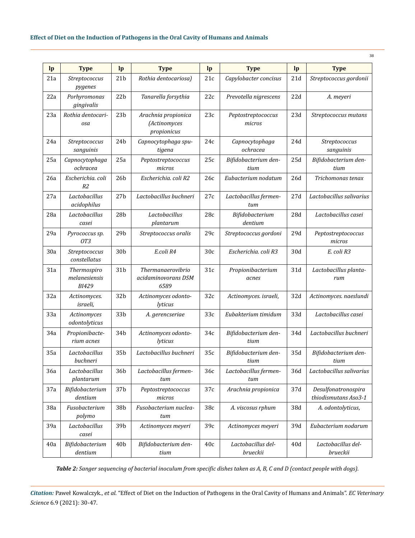| lp  | <b>Type</b>                                  | lp              | <b>Type</b>                                        | lp              | <b>Type</b>                    | lp              | <b>Type</b>                                 |  |  |
|-----|----------------------------------------------|-----------------|----------------------------------------------------|-----------------|--------------------------------|-----------------|---------------------------------------------|--|--|
| 21a | Streptococcus<br>pygenes                     | 21 <sub>b</sub> | Rothia dentocariosa)                               | 21c             | Capylobacter concisus          | 21d             | Streptococcus gordonii                      |  |  |
| 22a | Porhyromonas<br>gingivalis                   | 22 <sub>b</sub> | Tanarella forsythia                                | 22c             | Prevotella nigrescens          | 22d             | A. meyeri                                   |  |  |
| 23a | Rothia dentocari-<br>osa                     | 23 <sub>b</sub> | Arachnia propionica<br>(Actinomyces<br>propionicus | 23c             | Peptostreptococcus<br>micros   | 23d             | Streptococcus mutans                        |  |  |
| 24a | Streptococcus<br>sanguinis                   | 24 <sub>b</sub> | Capnocytophaga spu-<br>tigena                      | 24c             | Capnocytophaga<br>ochracea     | 24d             | Streptococcus<br>sanguinis                  |  |  |
| 25a | Capnocytophaga<br>ochracea                   | 25a             | Peptostreptococcus<br>micros                       | 25c             | Bifidobacterium den-<br>tium   | 25d             | Bifidobacterium den-<br>tium                |  |  |
| 26a | Escherichia. coli<br>R <sub>2</sub>          | 26 <sub>b</sub> | Escherichia. coli R2                               | 26c             | Eubacterium nodatum            | 26d             | Trichomonas tenax                           |  |  |
| 27a | Lactobacillus<br>acidophilus                 | 27 <sub>b</sub> | Lactobacillus buchneri                             | 27c             | Lactobacillus fermen-<br>tum   | 27d             | Lactobacillus salivarius                    |  |  |
| 28a | Lactobacillus<br>casei                       | 28 <sub>b</sub> | Lactobacillus<br>plantarum                         | 28c             | Bifidobacterium<br>dentium     | 28d             | Lactobacillus casei                         |  |  |
| 29a | Pyrococcus sp.<br>OT3                        | 29 <sub>b</sub> | Streptococcus oralis                               | 29c             | Streptococcus gordoni          | 29d             | Peptostreptococcus<br>micros                |  |  |
| 30a | Streptococcus<br>constellatus                | 30 <sub>b</sub> | E.coli R4                                          | 30 <sub>c</sub> | Escherichia. coli R3           | 30d             | E. coli R3                                  |  |  |
| 31a | Thermospiro<br>melanesiensis<br><b>BI429</b> | 31 <sub>b</sub> | Thermanaerovibrio<br>acidaminovorans DSM<br>6589   | 31c             | Propionibacterium<br>acnes     | 31d             | Lactobacillus planta-<br>rum                |  |  |
| 32a | Actinomyces.<br>israeli,                     | 32 <sub>b</sub> | Actinomyces odonto-<br>lyticus                     | 32c             | Actinomyces. israeli,          | 32d             | Actinomyces. naeslundi                      |  |  |
| 33a | Actinomyces<br>odontolyticus                 | 33b             | A. gerencseriae                                    | 33c             | Eubakterium timidum            | 33d             | Lactobacillus casei                         |  |  |
| 34a | Propionibacte-<br>rium acnes                 | 34b             | Actinomyces odonto-<br>lyticus                     | 34c             | Bifidobacterium den-<br>tium   | 34d             | Lactobacillus buchneri                      |  |  |
| 35a | Lactobacillus<br>buchneri                    | 35b             | Lactobacillus buchneri                             | 35c             | Bifidobacterium den-<br>tium   | 35d             | Bifidobacterium den-<br>tium                |  |  |
| 36a | Lactobacillus<br>plantarum                   | 36b             | Lactobacillus fermen-<br>tum                       | 36с             | Lactobacillus fermen-<br>tum   | 36d             | Lactobacillus salivarius                    |  |  |
| 37a | Bifidobacterium<br>dentium                   | 37b             | Peptostreptococcus<br>micros                       | 37c             | Arachnia propionica            | 37d             | Desulfonatronospira<br>thiodismutans Aso3-1 |  |  |
| 38a | Fusobacterium<br>polymo                      | 38b             | Fusobacterium nuclea-<br>tum                       | 38c             | A. viscosus rphum              | 38d             | A. odontolyticus,                           |  |  |
| 39a | Lactobacillus<br>casei                       | 39b             | Actinomyces meyeri                                 | 39c             | Actinomyces meyeri             | 39d             | Eubacterium nodarum                         |  |  |
| 40a | Bifidobacterium<br>dentium                   | 40 <sub>b</sub> | Bifidobacterium den-<br>tium                       | 40c             | Lactobacillus del-<br>brueckii | 40 <sub>d</sub> | Lactobacillus del-<br>brueckii              |  |  |

38

*Table 2: Sanger sequencing of bacterial inoculum from specific dishes taken as A, B, C and D (contact people with dogs).*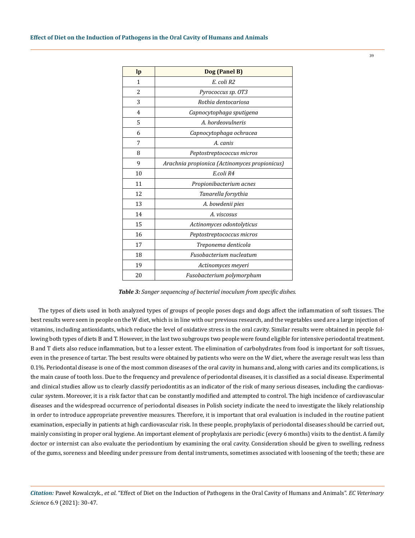| lp             | Dog (Panel B)                                 |
|----------------|-----------------------------------------------|
| 1              | E. coli R2                                    |
| 2              | Pyrococcus sp. 0T3                            |
| 3              | Rothia dentocariosa                           |
| $\overline{4}$ | Capnocytophaga sputigena                      |
| 5              | A. hordeovulneris                             |
| 6              | Capnocytophaga ochracea                       |
| 7              | A. canis                                      |
| 8              | Peptostreptococcus micros                     |
| 9              | Arachnia propionica (Actinomyces propionicus) |
| 10             | E.coli R4                                     |
| 11             | Propionibacterium acnes                       |
| 12             | Tanarella forsythia                           |
| 13             | A. bowdenii pies                              |
| 14             | A. viscosus                                   |
| 15             | Actinomyces odontolyticus                     |
| 16             | Peptostreptococcus micros                     |
| 17             | Treponema denticola                           |
| 18             | Fusobacterium nucleatum                       |
| 19             | Actinomyces meyeri                            |
| 20             | Fusobacterium polymorphum                     |

*Table 3: Sanger sequencing of bacterial inoculum from specific dishes.*

The types of diets used in both analyzed types of groups of people poses dogs and dogs affect the inflammation of soft tissues. The best results were seen in people on the W diet, which is in line with our previous research, and the vegetables used are a large injection of vitamins, including antioxidants, which reduce the level of oxidative stress in the oral cavity. Similar results were obtained in people following both types of diets B and T. However, in the last two subgroups two people were found eligible for intensive periodontal treatment. B and T diets also reduce inflammation, but to a lesser extent. The elimination of carbohydrates from food is important for soft tissues, even in the presence of tartar. The best results were obtained by patients who were on the W diet, where the average result was less than 0.1%. Periodontal disease is one of the most common diseases of the oral cavity in humans and, along with caries and its complications, is the main cause of tooth loss. Due to the frequency and prevalence of periodontal diseases, it is classified as a social disease. Experimental and clinical studies allow us to clearly classify periodontitis as an indicator of the risk of many serious diseases, including the cardiovascular system. Moreover, it is a risk factor that can be constantly modified and attempted to control. The high incidence of cardiovascular diseases and the widespread occurrence of periodontal diseases in Polish society indicate the need to investigate the likely relationship in order to introduce appropriate preventive measures. Therefore, it is important that oral evaluation is included in the routine patient examination, especially in patients at high cardiovascular risk. In these people, prophylaxis of periodontal diseases should be carried out, mainly consisting in proper oral hygiene. An important element of prophylaxis are periodic (every 6 months) visits to the dentist. A family doctor or internist can also evaluate the periodontium by examining the oral cavity. Consideration should be given to swelling, redness of the gums, soreness and bleeding under pressure from dental instruments, sometimes associated with loosening of the teeth; these are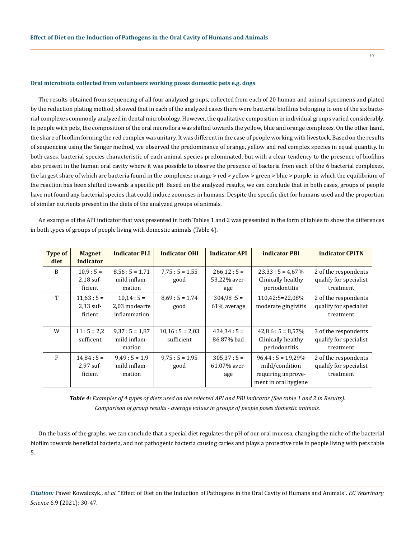## **Oral microbiota collected from volunteers working poses domestic pets e.g. dogs**

The results obtained from sequencing of all four analyzed groups, collected from each of 20 human and animal specimens and plated by the reduction plating method, showed that in each of the analyzed cases there were bacterial biofilms belonging to one of the six bacterial complexes commonly analyzed in dental microbiology. However, the qualitative composition in individual groups varied considerably. In people with pets, the composition of the oral microflora was shifted towards the yellow, blue and orange complexes. On the other hand, the share of bioflim forming the red complex was unitary. It was different in the case of people working with livestock. Based on the results of sequencing using the Sanger method, we observed the predominance of orange, yellow and red complex species in equal quantity. In both cases, bacterial species characteristic of each animal species predominated, but with a clear tendency to the presence of biofilms also present in the human oral cavity where it was possible to observe the presence of bacteria from each of the 6 bacterial complexes, the largest share of which are bacteria found in the complexes: orange > red > yellow > green > blue > purple, in which the equilibrium of the reaction has been shifted towards a specific pH. Based on the analyzed results, we can conclude that in both cases, groups of people have not found any bacterial species that could induce zoonoses in humans. Despite the specific diet for humans used and the proportion of similar nutrients present in the diets of the analyzed groups of animals.

40

An example of the API indicator that was presented in both Tables 1 and 2 was presented in the form of tables to show the differences in both types of groups of people living with domestic animals (Table 4).

| <b>Type of</b><br>diet | <b>Magnet</b><br>indicator           | <b>Indicator Pl.I</b>                       | <b>Indicator OHI</b>           | <b>Indicator API</b>               | indicator PBI                                                                     | <b>indicator CPITN</b>                                      |
|------------------------|--------------------------------------|---------------------------------------------|--------------------------------|------------------------------------|-----------------------------------------------------------------------------------|-------------------------------------------------------------|
| B                      | $10.9:5=$<br>$2,18$ suf-<br>ficient  | $8,56:5=1,71$<br>mild inflam-<br>mation     | $7,75:5 = 1,55$<br>good        | $266,12:5=$<br>53,22% aver-<br>age | $23.33:5 = 4.67\%$<br>Clinically healthy<br>periodontitis                         | 2 of the respondents<br>qualify for specialist<br>treatment |
| T                      | $11,63:5=$<br>$2,33$ suf-<br>ficient | $10,14:5=$<br>2,03 modearte<br>inflammation | $8,69:5=1,74$<br>good          | $304,98:5=$<br>61% average         | 110,42:5=22,08%<br>moderate gingivitis                                            | 2 of the respondents<br>qualify for specialist<br>treatment |
| W                      | $11:5 = 2,2$<br>sufficent            | $9,37:5 = 1,87$<br>mild inflam-<br>mation   | $10,16:5 = 2,03$<br>sufficient | $434.34:5=$<br>86,87% bad          | $42.86:5=8.57\%$<br>Clinically healthy<br>periodontitis                           | 3 of the respondents<br>qualify for specialist<br>treatment |
| F                      | $14,84:5=$<br>$2,97$ suf-<br>ficient | $9,49:5=1,9$<br>mild inflam-<br>mation      | $9.75:5 = 1.95$<br>good        | $305,37:5=$<br>61,07% aver-<br>age | $96,44:5=19,29\%$<br>mild/condition<br>requiring improve-<br>ment in oral hygiene | 2 of the respondents<br>qualify for specialist<br>treatment |

*Table 4: Examples of 4 types of diets used on the selected API and PBI indicator (See table 1 and 2 in Results). Comparison of group results - average values in groups of people poses domestic animals.* 

On the basis of the graphs, we can conclude that a special diet regulates the pH of our oral mucosa, changing the niche of the bacterial biofilm towards beneficial bacteria, and not pathogenic bacteria causing caries and plays a protective role in people living with pets table 5.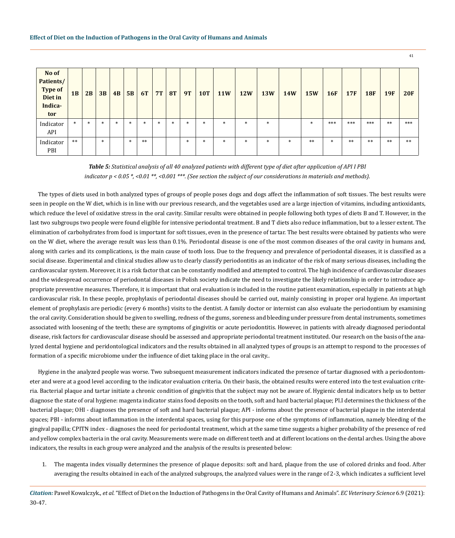| No of<br>Patients/<br><b>Type of</b><br>Diet in<br>Indica-<br>tor | 1B     | 2B     | 3B     | 4B     | 5B     | <b>6T</b> | 7T     | <b>8T</b> | <b>9T</b> | <b>10T</b> | <b>11W</b> | <b>12W</b> | <b>13W</b> | <b>14W</b> | <b>15W</b> | <b>16F</b> | <b>17F</b> | <b>18F</b> | <b>19F</b> | <b>20F</b> |
|-------------------------------------------------------------------|--------|--------|--------|--------|--------|-----------|--------|-----------|-----------|------------|------------|------------|------------|------------|------------|------------|------------|------------|------------|------------|
| Indicator<br>API                                                  | $\ast$ | $\ast$ | $\ast$ | $\ast$ | $\ast$ | $\ast$    | $\ast$ | $\ast$    | $\ast$    | $\ast$     | $\ast$     | $\ast$     | $\ast$     |            | $\ast$     | ***        | ***        | ***        | $***$      | ***        |
| Indicator<br>PBI                                                  | $***$  |        | $\ast$ |        | $\ast$ | $***$     |        |           | $\ast$    | $\ast$     | $\ast$     | $\ast$     | $\ast$     | $\ast$     | $***$      | $\ast$     | $***$      | $**$       | $***$      | $***$      |

*Table 5: Statistical analysis of all 40 analyzed patients with different type of diet after application of API I PBI indicator p < 0.05 \*, <0.01 \*\*, <0.001 \*\*\*. (See section the subject of our considerations in materials and methods).*

The types of diets used in both analyzed types of groups of people poses dogs and dogs affect the inflammation of soft tissues. The best results were seen in people on the W diet, which is in line with our previous research, and the vegetables used are a large injection of vitamins, including antioxidants, which reduce the level of oxidative stress in the oral cavity. Similar results were obtained in people following both types of diets B and T. However, in the last two subgroups two people were found eligible for intensive periodontal treatment. B and T diets also reduce inflammation, but to a lesser extent. The elimination of carbohydrates from food is important for soft tissues, even in the presence of tartar. The best results were obtained by patients who were on the W diet, where the average result was less than 0.1%. Periodontal disease is one of the most common diseases of the oral cavity in humans and, along with caries and its complications, is the main cause of tooth loss. Due to the frequency and prevalence of periodontal diseases, it is classified as a social disease. Experimental and clinical studies allow us to clearly classify periodontitis as an indicator of the risk of many serious diseases, including the cardiovascular system. Moreover, it is a risk factor that can be constantly modified and attempted to control. The high incidence of cardiovascular diseases and the widespread occurrence of periodontal diseases in Polish society indicate the need to investigate the likely relationship in order to introduce appropriate preventive measures. Therefore, it is important that oral evaluation is included in the routine patient examination, especially in patients at high cardiovascular risk. In these people, prophylaxis of periodontal diseases should be carried out, mainly consisting in proper oral hygiene. An important element of prophylaxis are periodic (every 6 months) visits to the dentist. A family doctor or internist can also evaluate the periodontium by examining the oral cavity. Consideration should be given to swelling, redness of the gums, soreness and bleeding under pressure from dental instruments, sometimes associated with loosening of the teeth; these are symptoms of gingivitis or acute periodontitis. However, in patients with already diagnosed periodontal disease, risk factors for cardiovascular disease should be assessed and appropriate periodontal treatment instituted. Our research on the basis of the analyzed dental hygiene and peridontological indicators and the results obtained in all analyzed types of groups is an attempt to respond to the processes of formation of a specific microbiome under the influence of diet taking place in the oral cavity..

Hygiene in the analyzed people was worse. Two subsequent measurement indicators indicated the presence of tartar diagnosed with a periodontometer and were at a good level according to the indicator evaluation criteria. On their basis, the obtained results were entered into the test evaluation criteria. Bacterial plaque and tartar initiate a chronic condition of gingivitis that the subject may not be aware of. Hygienic dental indicators help us to better diagnose the state of oral hygiene: magenta indicator stains food deposits on the tooth, soft and hard bacterial plaque; Pl.I determines the thickness of the bacterial plaque; OHI - diagnoses the presence of soft and hard bacterial plaque; API - informs about the presence of bacterial plaque in the interdental spaces; PBI - informs about inflammation in the interdental spaces, using for this purpose one of the symptoms of inflammation, namely bleeding of the gingival papilla; CPITN index - diagnoses the need for periodontal treatment, which at the same time suggests a higher probability of the presence of red and yellow complex bacteria in the oral cavity. Measurements were made on different teeth and at different locations on the dental arches. Using the above indicators, the results in each group were analyzed and the analysis of the results is presented below:

1. The magenta index visually determines the presence of plaque deposits: soft and hard, plaque from the use of colored drinks and food. After averaging the results obtained in each of the analyzed subgroups, the analyzed values were in the range of 2-3, which indicates a sufficient level

*Citation:* Paweł Kowalczyk., *et al.* "Effect of Diet on the Induction of Pathogens in the Oral Cavity of Humans and Animals". *EC Veterinary Science* 6.9 (2021): 30-47.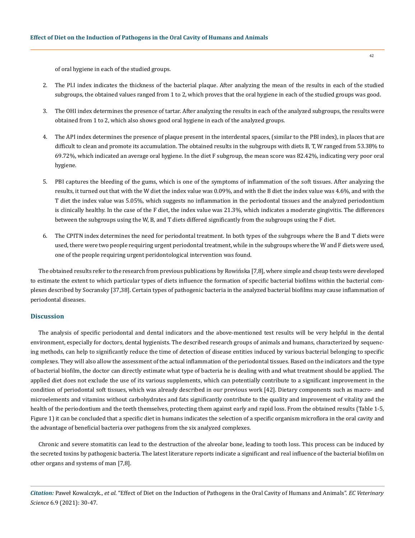of oral hygiene in each of the studied groups.

- 2. The Pl.I index indicates the thickness of the bacterial plaque. After analyzing the mean of the results in each of the studied subgroups, the obtained values ranged from 1 to 2, which proves that the oral hygiene in each of the studied groups was good.
- 3. The OHI index determines the presence of tartar. After analyzing the results in each of the analyzed subgroups, the results were obtained from 1 to 2, which also shows good oral hygiene in each of the analyzed groups.
- 4. The API index determines the presence of plaque present in the interdental spaces, (similar to the PBI index), in places that are difficult to clean and promote its accumulation. The obtained results in the subgroups with diets B, T, W ranged from 53.38% to 69.72%, which indicated an average oral hygiene. In the diet F subgroup, the mean score was 82.42%, indicating very poor oral hygiene.
- 5. PBI captures the bleeding of the gums, which is one of the symptoms of inflammation of the soft tissues. After analyzing the results, it turned out that with the W diet the index value was 0.09%, and with the B diet the index value was 4.6%, and with the T diet the index value was 5.05%, which suggests no inflammation in the periodontal tissues and the analyzed periodontium is clinically healthy. In the case of the F diet, the index value was 21.3%, which indicates a moderate gingivitis. The differences between the subgroups using the W, B, and T diets differed significantly from the subgroups using the F diet.
- 6. The CPITN index determines the need for periodontal treatment. In both types of the subgroups where the B and T diets were used, there were two people requiring urgent periodontal treatment, while in the subgroups where the W and F diets were used, one of the people requiring urgent peridontological intervention was found.

The obtained results refer to the research from previous publications by Rowińska [7,8], where simple and cheap tests were developed to estimate the extent to which particular types of diets influence the formation of specific bacterial biofilms within the bacterial complexes described by Socransky [37,38]. Certain types of pathogenic bacteria in the analyzed bacterial biofilms may cause inflammation of periodontal diseases.

## **Discussion**

The analysis of specific periodontal and dental indicators and the above-mentioned test results will be very helpful in the dental environment, especially for doctors, dental hygienists. The described research groups of animals and humans, characterized by sequencing methods, can help to significantly reduce the time of detection of disease entities induced by various bacterial belonging to specific complexes. They will also allow the assessment of the actual inflammation of the periodontal tissues. Based on the indicators and the type of bacterial biofilm, the doctor can directly estimate what type of bacteria he is dealing with and what treatment should be applied. The applied diet does not exclude the use of its various supplements, which can potentially contribute to a significant improvement in the condition of periodontal soft tissues, which was already described in our previous work [42]. Dietary components such as macro- and microelements and vitamins without carbohydrates and fats significantly contribute to the quality and improvement of vitality and the health of the periodontium and the teeth themselves, protecting them against early and rapid loss. From the obtained results (Table 1-5, Figure 1) it can be concluded that a specific diet in humans indicates the selection of a specific organism microflora in the oral cavity and the advantage of beneficial bacteria over pathogens from the six analyzed complexes.

Chronic and severe stomatitis can lead to the destruction of the alveolar bone, leading to tooth loss. This process can be induced by the secreted toxins by pathogenic bacteria. The latest literature reports indicate a significant and real influence of the bacterial biofilm on other organs and systems of man [7,8].

*Citation:* Paweł Kowalczyk., *et al.* "Effect of Diet on the Induction of Pathogens in the Oral Cavity of Humans and Animals". *EC Veterinary Science* 6.9 (2021): 30-47.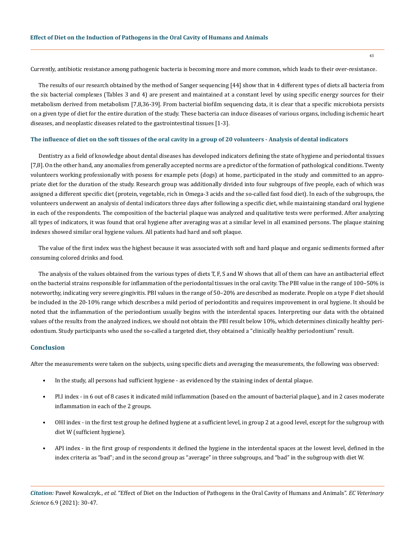Currently, antibiotic resistance among pathogenic bacteria is becoming more and more common, which leads to their over-resistance.

The results of our research obtained by the method of Sanger sequencing [44] show that in 4 different types of diets all bacteria from the six bacterial complexes (Tables 3 and 4) are present and maintained at a constant level by using specific energy sources for their metabolism derived from metabolism [7,8,36-39]. From bacterial biofilm sequencing data, it is clear that a specific microbiota persists on a given type of diet for the entire duration of the study. These bacteria can induce diseases of various organs, including ischemic heart diseases, and neoplastic diseases related to the gastrointestinal tissues [1-3].

## **The influence of diet on the soft tissues of the oral cavity in a group of 20 volunteers - Analysis of dental indicators**

Dentistry as a field of knowledge about dental diseases has developed indicators defining the state of hygiene and periodontal tissues [7,8]. On the other hand, any anomalies from generally accepted norms are a predictor of the formation of pathological conditions. Twenty volunteers working professionally with posess for example pets (dogs) at home, participated in the study and committed to an appropriate diet for the duration of the study. Research group was additionally divided into four subgroups of five people, each of which was assigned a different specific diet (protein, vegetable, rich in Omega-3 acids and the so-called fast food diet). In each of the subgroups, the volunteers underwent an analysis of dental indicators three days after following a specific diet, while maintaining standard oral hygiene in each of the respondents. The composition of the bacterial plaque was analyzed and qualitative tests were performed. After analyzing all types of indicators, it was found that oral hygiene after averaging was at a similar level in all examined persons. The plaque staining indexes showed similar oral hygiene values. All patients had hard and soft plaque.

The value of the first index was the highest because it was associated with soft and hard plaque and organic sediments formed after consuming colored drinks and food.

The analysis of the values obtained from the various types of diets T, F, S and W shows that all of them can have an antibacterial effect on the bacterial strains responsible for inflammation of the periodontal tissues in the oral cavity. The PBI value in the range of 100–50% is noteworthy, indicating very severe gingivitis. PBI values in the range of 50–20% are described as moderate. People on a type F diet should be included in the 20-10% range which describes a mild period of periodontitis and requires improvement in oral hygiene. It should be noted that the inflammation of the periodontium usually begins with the interdental spaces. Interpreting our data with the obtained values of the results from the analyzed indices, we should not obtain the PBI result below 10%, which determines clinically healthy periodontium. Study participants who used the so-called a targeted diet, they obtained a "clinically healthy periodontium" result.

## **Conclusion**

After the measurements were taken on the subjects, using specific diets and averaging the measurements, the following was observed:

- In the study, all persons had sufficient hygiene as evidenced by the staining index of dental plaque.
- Pl.I index in 6 out of 8 cases it indicated mild inflammation (based on the amount of bacterial plaque), and in 2 cases moderate inflammation in each of the 2 groups.
- OHI index in the first test group he defined hygiene at a sufficient level, in group 2 at a good level, except for the subgroup with diet W (sufficient hygiene).
- API index in the first group of respondents it defined the hygiene in the interdental spaces at the lowest level, defined in the index criteria as "bad"; and in the second group as "average" in three subgroups, and "bad" in the subgroup with diet W.

*Citation:* Paweł Kowalczyk., *et al.* "Effect of Diet on the Induction of Pathogens in the Oral Cavity of Humans and Animals". *EC Veterinary Science* 6.9 (2021): 30-47.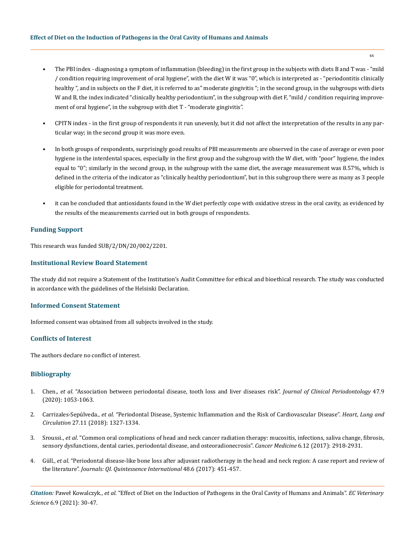- The PBI index diagnosing a symptom of inflammation (bleeding) in the first group in the subjects with diets B and T was "mild / condition requiring improvement of oral hygiene", with the diet W it was "0", which is interpreted as - "periodontitis clinically healthy ", and in subjects on the F diet, it is referred to as" moderate gingivitis "; in the second group, in the subgroups with diets W and B, the index indicated "clinically healthy periodontium", in the subgroup with diet F, "mild / condition requiring improvement of oral hygiene", in the subgroup with diet T - "moderate gingivitis".
- CPITN index in the first group of respondents it run unevenly, but it did not affect the interpretation of the results in any particular way; in the second group it was more even.
- In both groups of respondents, surprisingly good results of PBI measurements are observed in the case of average or even poor hygiene in the interdental spaces, especially in the first group and the subgroup with the W diet, with "poor" hygiene, the index equal to "0"; similarly in the second group, in the subgroup with the same diet, the average measurement was 8.57%, which is defined in the criteria of the indicator as "clinically healthy periodontium", but in this subgroup there were as many as 3 people eligible for periodontal treatment.
- it can be concluded that antioxidants found in the W diet perfectly cope with oxidative stress in the oral cavity, as evidenced by the results of the measurements carried out in both groups of respondents.

# **Funding Support**

This research was funded SUB/2/DN/20/002/2201.

# **Institutional Review Board Statement**

The study did not require a Statement of the Institution's Audit Committee for ethical and bioethical research. The study was conducted in accordance with the guidelines of the Helsinki Declaration.

# **Informed Consent Statement**

Informed consent was obtained from all subjects involved in the study.

## **Conflicts of Interest**

The authors declare no conflict of interest.

# **Bibliography**

- 1. Chen., *et al*[. "Association between periodontal disease, tooth loss and liver diseases risk".](https://pubmed.ncbi.nlm.nih.gov/32621350/) *Journal of Clinical Periodontology* 47.9 [\(2020\): 1053-1063.](https://pubmed.ncbi.nlm.nih.gov/32621350/)
- 2. Carrizales-Sepúlveda., *et al*[. "Periodontal Disease, Systemic Inflammation and the Risk of Cardiovascular Disease".](https://pubmed.ncbi.nlm.nih.gov/29903685/) *Heart, Lung and Circulation* [27.11 \(2018\): 1327-1334.](https://pubmed.ncbi.nlm.nih.gov/29903685/)
- 3. Sroussi., *et al*[. "Common oral complications of head and neck cancer radiation therapy: mucositis, infections, saliva change, fibrosis,](https://pubmed.ncbi.nlm.nih.gov/29071801/) [sensory dysfunctions, dental caries, periodontal disease, and osteoradionecrosis".](https://pubmed.ncbi.nlm.nih.gov/29071801/) *Cancer Medicine* 6.12 (2017): 2918-2931.
- 4. Güll., *et al*[. "Periodontal disease-like bone loss after adjuvant radiotherapy in the head and neck region: A case report and review of](https://pubmed.ncbi.nlm.nih.gov/28462407/)  the literature". *[Journals: QI. Quintessence International](https://pubmed.ncbi.nlm.nih.gov/28462407/)* 48.6 (2017): 451-457.

*Citation:* Paweł Kowalczyk., *et al.* "Effect of Diet on the Induction of Pathogens in the Oral Cavity of Humans and Animals". *EC Veterinary Science* 6.9 (2021): 30-47.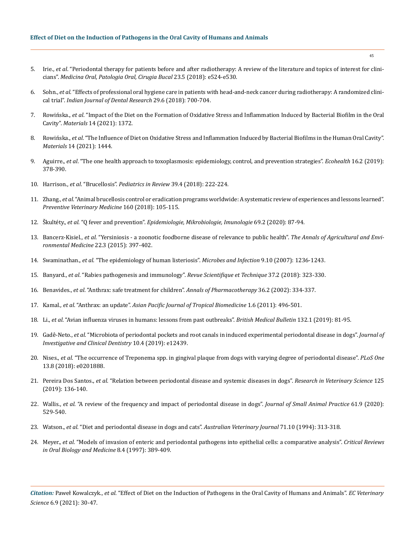- 5. Irie., *et al*[. "Periodontal therapy for patients before and after radiotherapy: A review of the literature and topics of interest for clini](https://pubmed.ncbi.nlm.nih.gov/30148466/)cians". *[Medicina Oral, Patologia Oral, Cirugia Bucal](https://pubmed.ncbi.nlm.nih.gov/30148466/)* 23.5 (2018): e524-e530.
- 6. Sohn., *et al*[. "Effects of professional oral hygiene care in patients with head-and-neck cancer during radiotherapy: A randomized clini](https://pubmed.ncbi.nlm.nih.gov/30588994/)cal trial". *[Indian Journal of Dental Research](https://pubmed.ncbi.nlm.nih.gov/30588994/)* 29.6 (2018): 700-704.
- 7. Rowińska., *et al*[. "Impact of the Diet on the Formation of Oxidative Stress and Inflammation Induced by Bacterial Biofilm in the Oral](https://pubmed.ncbi.nlm.nih.gov/33809050/)  Cavity". *Materials* [14 \(2021\): 1372.](https://pubmed.ncbi.nlm.nih.gov/33809050/)
- 8. Rowińska., *et al*[. "The Influence of Diet on Oxidative Stress and Inflammation Induced by Bacterial Biofilms in the Human Oral Cavity".](https://pubmed.ncbi.nlm.nih.gov/33809616/)  *Materials* [14 \(2021\): 1444.](https://pubmed.ncbi.nlm.nih.gov/33809616/)
- 9. Aguirre., *et al*[. "The one health approach to toxoplasmosis: epidemiology, control, and prevention strategies".](https://pubmed.ncbi.nlm.nih.gov/30945159/) *Ecohealth* 16.2 (2019): [378-390.](https://pubmed.ncbi.nlm.nih.gov/30945159/)
- 10. Harrison., *et al*. "Brucellosis". *Pediatrics in Review* 39.4 (2018): 222-224.
- 11. Zhang., *et al*[. "Animal brucellosis control or eradication programs worldwide: A systematic review of experiences and lessons learned".](https://pubmed.ncbi.nlm.nih.gov/30388992/)  *[Preventive Veterinary Medicine](https://pubmed.ncbi.nlm.nih.gov/30388992/)* 160 (2018): 105-115.
- 12. Škultéty., *et al*. "Q fever and prevention". *[Epidemiologie, Mikrobiologie, Imunologie](https://pubmed.ncbi.nlm.nih.gov/32819108/)* 69.2 (2020): 87-94.
- 13. Bancerz-Kisiel., *et al*[. "Yersiniosis a zoonotic foodborne disease of relevance to public health".](http://www.aaem.pl/Yersiniosis-zoonotic-foodborne-disease-of-relevance-to-public-health,72296,0,2.html) *The Annals of Agricultural and Envi[ronmental Medicine](http://www.aaem.pl/Yersiniosis-zoonotic-foodborne-disease-of-relevance-to-public-health,72296,0,2.html)* 22.3 (2015): 397-402.
- 14. Swaminathan., *et al*[. "The epidemiology of human listeriosis".](https://pubmed.ncbi.nlm.nih.gov/17720602/) *Microbes and Infection* 9.10 (2007): 1236-1243.
- 15. Banyard., *et al*[. "Rabies pathogenesis and immunology".](https://pubmed.ncbi.nlm.nih.gov/30747145/) *Revue Scientifique et Technique* 37.2 (2018): 323-330.
- 16. Benavides., *et al*[. "Anthrax: safe treatment for children".](https://www.researchgate.net/publication/11513292_Anthrax_Safe_Treatment_for_Children) *Annals of Pharmacotherapy* 36.2 (2002): 334-337.
- 17. Kamal*., et al*. "Anthrax: an update". *[Asian Pacific Journal of Tropical Biomedicine](https://pubmed.ncbi.nlm.nih.gov/23569822/)* 1.6 (2011): 496-501.
- 18. Li., *et al*[. "Avian influenza viruses in humans: lessons from past outbreaks".](https://pubmed.ncbi.nlm.nih.gov/31848585/) *British Medical Bulletin* 132.1 (2019): 81-95.
- 19. Gadê-Neto., *et al*[. "Microbiota of periodontal pockets and root canals in induced experimental periodontal disease in dogs".](https://pubmed.ncbi.nlm.nih.gov/31313892/) *Journal of [Investigative and Clinical Dentistry](https://pubmed.ncbi.nlm.nih.gov/31313892/)* 10.4 (2019): e12439.
- 20. Nises., *et al*[. "The occurrence of Treponema spp. in gingival plaque from dogs with varying degree of periodontal disease".](https://pubmed.ncbi.nlm.nih.gov/30092089/) *PLoS One* [13.8 \(2018\): e0201888.](https://pubmed.ncbi.nlm.nih.gov/30092089/)
- 21. Pereira Dos Santos., *et al*[. "Relation between periodontal disease and systemic diseases in dogs".](https://www.cliniciansbrief.com/article/relationship-between-periodontal-systemic-disease-dogs) *Research in Veterinary Science* 125 [\(2019\): 136-140.](https://www.cliniciansbrief.com/article/relationship-between-periodontal-systemic-disease-dogs)
- 22. Wallis., *et al*[. "A review of the frequency and impact of periodontal disease in dogs".](https://onlinelibrary.wiley.com/doi/full/10.1111/jsap.13218) *Journal of Small Animal Practice* 61.9 (2020): [529-540.](https://onlinelibrary.wiley.com/doi/full/10.1111/jsap.13218)
- 23. Watson., *et al*[. "Diet and periodontal disease in dogs and cats".](https://pubmed.ncbi.nlm.nih.gov/7848177/) *Australian Veterinary Journal* 71.10 (1994): 313-318.
- 24. Meyer., *et al*[. "Models of invasion of enteric and periodontal pathogens into epithelial cells: a comparative analysis".](https://pubmed.ncbi.nlm.nih.gov/9391752/) *Critical Reviews [in Oral Biology and Medicine](https://pubmed.ncbi.nlm.nih.gov/9391752/)* 8.4 (1997): 389-409.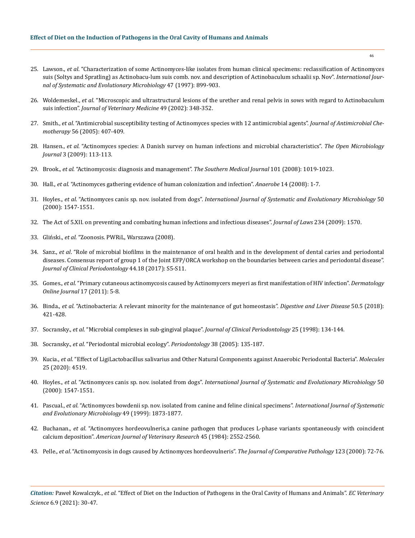- 25. Lawson., *et al*[. "Characterization of some Actinomyces-like isolates from human clinical specimens: reclassification of Actinomyces](https://pubmed.ncbi.nlm.nih.gov/9226926/)  [suis \(Soltys and Spratling\) as Actinobacu-lum suis comb. nov. and description of Actinobaculum schaalii sp. Nov".](https://pubmed.ncbi.nlm.nih.gov/9226926/) *International Jour[nal of Systematic and Evolutionary Microbiology](https://pubmed.ncbi.nlm.nih.gov/9226926/)* 47 (1997): 899-903.
- 26. Woldemeskel., *et al*[. "Microscopic and ultrastructural lesions of the urether and renal pelvis in sows with regard to Actinobaculum](https://pubmed.ncbi.nlm.nih.gov/12440789/)  suis infection". *[Journal of Veterinary Medicine](https://pubmed.ncbi.nlm.nih.gov/12440789/)* 49 (2002): 348-352.
- 27. Smith., *et al*[. "Antimicrobial susceptibility testing of Actinomyces species with 12 antimicrobial agents".](https://watermark.silverchair.com/dki206.pdf?token=AQECAHi208BE49Ooan9kkhW_Ercy7Dm3ZL_9Cf3qfKAc485ysgAAArwwggK4BgkqhkiG9w0BBwagggKpMIICpQIBADCCAp4GCSqGSIb3DQEHATAeBglghkgBZQMEAS4wEQQMm1NU3xIJaaVkYraYAgEQgIICb892wkgXMKKgxKRF1eQhI12lgeApCgN6EySoRdyYdHri_s-r1AU72K6nK4Oq2_ljAtlDNF0pLc8MTcHhUQNkKDkUIFL2D4zp_HJFQzlcmza-3lzmVNbB-SDS27fOhW8MuJMgzsl2DY8uRWUk4x-R8yp0JD7xAkXjxhXqhKqpXF0tWjirm6XXDD4NcHbXq8mlnGXs4upbk9e6PuU4W8-dmJHaNiUF4uplOkOFn8ZC79JVd07BD5F4Zz7KkhpeUaDPX75gx87mWA7_GVyMbHnjrHEXS13IColzgvQcVBYx27ne-KPq08MuK4DRigNdF49mxzAdRfDC1U9l-KoLZli730By8EzRP43SfEt0-Ic6oWq5ECAfxCBCvUGBMAyTazoZPEqsQJuERncBBhhaHpIgXBqoC9IUstbYmp39-WQOBUNsOoUXwW6DL8Wr4VnqWgx_UHkkCm-AS4-IvkHsxKtd_q020CpmlXnVV4qPXAvJ6edCxs6ixwhzx451d3RU6xWwWB0qzc4llrX_BXrqs4szbkFxWzJ8xv0wPeYTbcPBk_DoFRo-p_zKF5Az6YS6M9fvYR71mTjgKxZyquKCbM0hPWCgjLiV1e0EtLa6sgb1VtGSynxHUy3otAV5nCNBmcLM7nNktQrMaw08cr5f9QuNvId5ZSwE3c5_mZhTbW0Jc_YDBSXLxYxpWe4RFOWQ-mk0UqzU31kvmEF9ldYbwSaJQF7PmKibrjIXR3M_59C3XqOraiQ7q-amaCXk6qC_qtdNr61cp2iEFfXbk-3DTSx-xON4zLVFQPgjl9951CS_QZNgs2e0ZFHNaAHsAZ6N-vjE) *Journal of Antimicrobial Chemotherapy* [56 \(2005\): 407-409.](https://watermark.silverchair.com/dki206.pdf?token=AQECAHi208BE49Ooan9kkhW_Ercy7Dm3ZL_9Cf3qfKAc485ysgAAArwwggK4BgkqhkiG9w0BBwagggKpMIICpQIBADCCAp4GCSqGSIb3DQEHATAeBglghkgBZQMEAS4wEQQMm1NU3xIJaaVkYraYAgEQgIICb892wkgXMKKgxKRF1eQhI12lgeApCgN6EySoRdyYdHri_s-r1AU72K6nK4Oq2_ljAtlDNF0pLc8MTcHhUQNkKDkUIFL2D4zp_HJFQzlcmza-3lzmVNbB-SDS27fOhW8MuJMgzsl2DY8uRWUk4x-R8yp0JD7xAkXjxhXqhKqpXF0tWjirm6XXDD4NcHbXq8mlnGXs4upbk9e6PuU4W8-dmJHaNiUF4uplOkOFn8ZC79JVd07BD5F4Zz7KkhpeUaDPX75gx87mWA7_GVyMbHnjrHEXS13IColzgvQcVBYx27ne-KPq08MuK4DRigNdF49mxzAdRfDC1U9l-KoLZli730By8EzRP43SfEt0-Ic6oWq5ECAfxCBCvUGBMAyTazoZPEqsQJuERncBBhhaHpIgXBqoC9IUstbYmp39-WQOBUNsOoUXwW6DL8Wr4VnqWgx_UHkkCm-AS4-IvkHsxKtd_q020CpmlXnVV4qPXAvJ6edCxs6ixwhzx451d3RU6xWwWB0qzc4llrX_BXrqs4szbkFxWzJ8xv0wPeYTbcPBk_DoFRo-p_zKF5Az6YS6M9fvYR71mTjgKxZyquKCbM0hPWCgjLiV1e0EtLa6sgb1VtGSynxHUy3otAV5nCNBmcLM7nNktQrMaw08cr5f9QuNvId5ZSwE3c5_mZhTbW0Jc_YDBSXLxYxpWe4RFOWQ-mk0UqzU31kvmEF9ldYbwSaJQF7PmKibrjIXR3M_59C3XqOraiQ7q-amaCXk6qC_qtdNr61cp2iEFfXbk-3DTSx-xON4zLVFQPgjl9951CS_QZNgs2e0ZFHNaAHsAZ6N-vjE)
- 28. Hansen., *et al*[. "Actinomyces species: A Danish survey on human infections and microbial characteristics".](https://pubmed.ncbi.nlm.nih.gov/19657460/) *The Open Microbiology Journal* [3 \(2009\): 113-113.](https://pubmed.ncbi.nlm.nih.gov/19657460/)
- 29. Brook., *et al*[. "Actinomycosis: diagnosis and management".](https://pubmed.ncbi.nlm.nih.gov/18791528/) *The Southern Medical Journal* 101 (2008): 1019-1023.
- 30. Hall., *et al*[. "Actinomyces gathering evidence of human colonization and infection".](https://pubmed.ncbi.nlm.nih.gov/18222714/) *Anaerobe* 14 (2008): 1-7.
- 31. Hoyles., *et al*. "Actinomyces canis sp. nov. isolated from dogs". *[International Journal of Systematic and Evolutionary Microbiology](https://www.microbiologyresearch.org/docserver/fulltext/ijsem/50/4/0501547a.pdf?expires=1627998397&id=id&accname=guest&checksum=E47FECA500C2917DD834F8B345801BDF)* 50 [\(2000\): 1547-1551.](https://www.microbiologyresearch.org/docserver/fulltext/ijsem/50/4/0501547a.pdf?expires=1627998397&id=id&accname=guest&checksum=E47FECA500C2917DD834F8B345801BDF)
- 32. The Act of 5.XII. on preventing and combating human infections and infectious diseases". *Journal of Laws* 234 (2009): 1570.
- 33. Gliński., *et al*. "Zoonosis. PWRiL, Warszawa (2008).
- 34. Sanz., *et al*[. "Role of microbial biofilms in the maintenance of oral health and in the development of dental caries and periodontal](https://pubmed.ncbi.nlm.nih.gov/28266109/)  [diseases. Consensus report of group 1 of the Joint EFP/ORCA workshop on the boundaries between caries and periodontal disease".](https://pubmed.ncbi.nlm.nih.gov/28266109/)  *[Journal of Clinical Periodontology](https://pubmed.ncbi.nlm.nih.gov/28266109/)* 44.18 (2017): S5-S11.
- 35. Gomes., *et al*[. "Primary cutaneous actinomycosis caused by Actinomycers meyeri as first manifestation of HIV infection".](https://pubmed.ncbi.nlm.nih.gov/22136861/) *Dermatology [Online Journal](https://pubmed.ncbi.nlm.nih.gov/22136861/)* 17 (2011): 5-8.
- 36. Binda., *et al*[. "Actinobacteria: A relevant minority for the maintenance of gut homeostasis".](https://pubmed.ncbi.nlm.nih.gov/29567414/) *Digestive and Liver Disease* 50.5 (2018): [421-428.](https://pubmed.ncbi.nlm.nih.gov/29567414/)
- 37. Socransky., *et al*[. "Microbial complexes in sub-gingival plaque".](https://pubmed.ncbi.nlm.nih.gov/9495612/) *Journal of Clinical Periodontology* 25 (1998): 134-144.
- 38. Socransky., *et al*[. "Periodontal microbial ecology".](https://pubmed.ncbi.nlm.nih.gov/15853940/) *Periodontology* 38 (2005): 135-187.
- 39. Kucia., *et al*. "Effect of LigiLactobacillus salivarius and Other Natural Components against Anaerobic Periodontal Bacteria". *Molecules*  25 (2020): 4519.
- 40. Hoyles., *et al*. "Actinomyces canis sp. nov. isolated from dogs". *[International Journal of Systematic and Evolutionary Microbiology](https://www.microbiologyresearch.org/content/journal/ijsem/10.1099/00207713-50-4-1547)* 50 [\(2000\): 1547-1551.](https://www.microbiologyresearch.org/content/journal/ijsem/10.1099/00207713-50-4-1547)
- 41. Pascual., *et al*[. "Actinomyces bowdenii sp. nov. isolated from canine and feline clinical specimens".](https://www.microbiologyresearch.org/content/journal/ijsem/10.1099/00207713-49-4-1873) *International Journal of Systematic [and Evolutionary Microbiology](https://www.microbiologyresearch.org/content/journal/ijsem/10.1099/00207713-49-4-1873)* 49 (1999): 1873-1877.
- 42. Buchanan., *et al*[. "Actinomyces hordeovulneris,a canine pathogen that produces L-phase variants spontaneously with coincident](https://pubmed.ncbi.nlm.nih.gov/6524750/)  calcium deposition". *[American Journal of Veterinary Research](https://pubmed.ncbi.nlm.nih.gov/6524750/)* 45 (1984): 2552-2560.
- 43. Pelle., *et al*[. "Actinomycosis in dogs caused by Actinomyces hordeovulneris".](https://pubmed.ncbi.nlm.nih.gov/10906260/) *The Journal of Comparative Pathology* 123 (2000): 72-76.

*Citation:* Paweł Kowalczyk., *et al.* "Effect of Diet on the Induction of Pathogens in the Oral Cavity of Humans and Animals". *EC Veterinary Science* 6.9 (2021): 30-47.